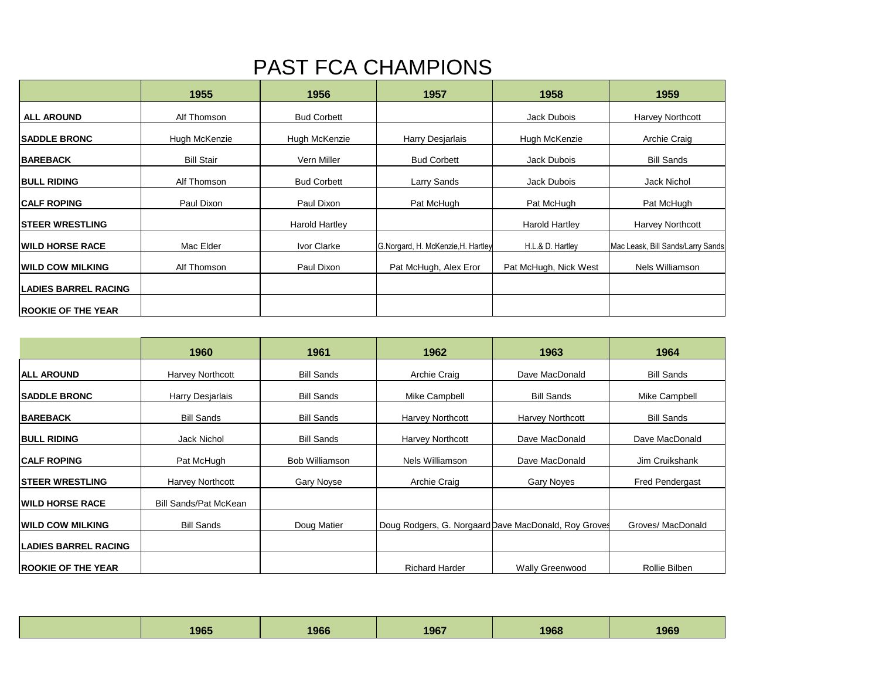## PAST FCA CHAMPIONS

|                             | 1955              | 1956               | 1957                               | 1958                  | 1959                              |
|-----------------------------|-------------------|--------------------|------------------------------------|-----------------------|-----------------------------------|
| <b>ALL AROUND</b>           | Alf Thomson       | <b>Bud Corbett</b> |                                    | Jack Dubois           | Harvey Northcott                  |
| <b>SADDLE BRONC</b>         | Hugh McKenzie     | Hugh McKenzie      | Harry Desjarlais                   | Hugh McKenzie         | Archie Craig                      |
| <b>BAREBACK</b>             | <b>Bill Stair</b> | Vern Miller        | <b>Bud Corbett</b>                 | Jack Dubois           | <b>Bill Sands</b>                 |
| <b>BULL RIDING</b>          | Alf Thomson       | <b>Bud Corbett</b> | Larry Sands                        | Jack Dubois           | <b>Jack Nichol</b>                |
| <b>CALF ROPING</b>          | Paul Dixon        | Paul Dixon         | Pat McHugh                         | Pat McHugh            | Pat McHugh                        |
| <b>STEER WRESTLING</b>      |                   | Harold Hartley     |                                    | <b>Harold Hartley</b> | Harvey Northcott                  |
| <b>IWILD HORSE RACE</b>     | Mac Elder         | Ivor Clarke        | G.Norgard, H. McKenzie, H. Hartley | H.L.& D. Hartley      | Mac Leask, Bill Sands/Larry Sands |
| <b>WILD COW MILKING</b>     | Alf Thomson       | Paul Dixon         | Pat McHugh, Alex Eror              | Pat McHugh, Nick West | Nels Williamson                   |
| <b>LADIES BARREL RACING</b> |                   |                    |                                    |                       |                                   |
| <b>ROOKIE OF THE YEAR</b>   |                   |                    |                                    |                       |                                   |

|                             | 1960                  | 1961                  | 1962                  | 1963                                                 | 1964                   |
|-----------------------------|-----------------------|-----------------------|-----------------------|------------------------------------------------------|------------------------|
| <b>IALL AROUND</b>          | Harvey Northcott      | <b>Bill Sands</b>     | Archie Craig          | Dave MacDonald                                       | <b>Bill Sands</b>      |
| <b>SADDLE BRONC</b>         | Harry Desjarlais      | <b>Bill Sands</b>     | Mike Campbell         | <b>Bill Sands</b>                                    | Mike Campbell          |
| <b>BAREBACK</b>             | <b>Bill Sands</b>     | <b>Bill Sands</b>     | Harvey Northcott      | Harvey Northcott                                     | <b>Bill Sands</b>      |
| <b>BULL RIDING</b>          | Jack Nichol           | <b>Bill Sands</b>     | Harvey Northcott      | Dave MacDonald                                       | Dave MacDonald         |
| <b>ICALF ROPING</b>         | Pat McHugh            | <b>Bob Williamson</b> | Nels Williamson       | Dave MacDonald                                       | Jim Cruikshank         |
| <b>ISTEER WRESTLING</b>     | Harvey Northcott      | Gary Noyse            | Archie Craig          | Gary Noyes                                           | <b>Fred Pendergast</b> |
| <b>IWILD HORSE RACE</b>     | Bill Sands/Pat McKean |                       |                       |                                                      |                        |
| <b>IWILD COW MILKING</b>    | <b>Bill Sands</b>     | Doug Matier           |                       | Doug Rodgers, G. Norgaard Dave MacDonald, Roy Groves | Groves/ MacDonald      |
| <b>LADIES BARREL RACING</b> |                       |                       |                       |                                                      |                        |
| <b>ROOKIE OF THE YEAR</b>   |                       |                       | <b>Richard Harder</b> | <b>Wally Greenwood</b>                               | Rollie Bilben          |

| 1965 | 1966 | 1967 | 1968 | 1969 |
|------|------|------|------|------|
|      |      |      |      |      |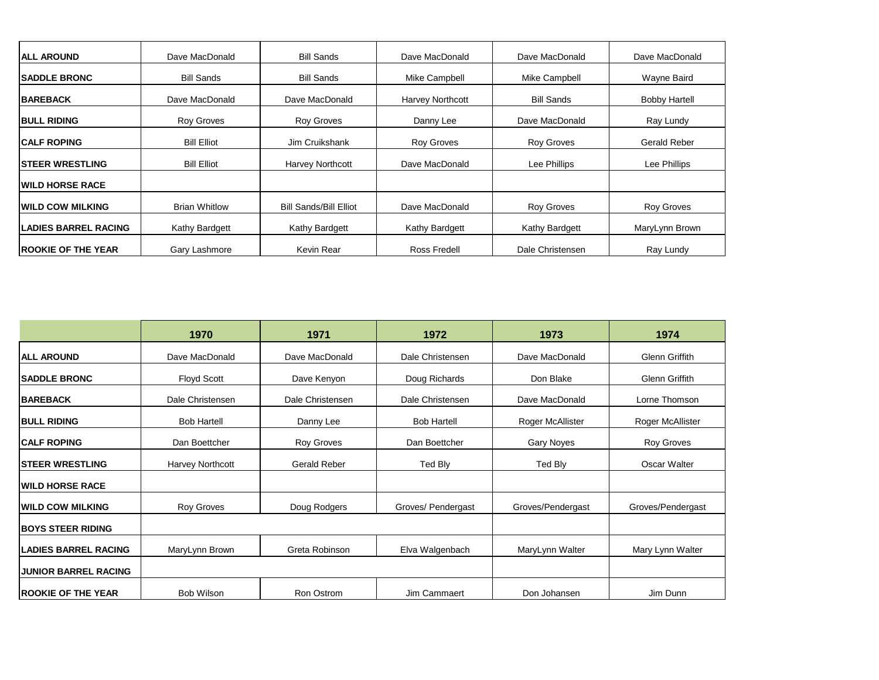| <b>ALL AROUND</b>           | Dave MacDonald       | <b>Bill Sands</b>             | Dave MacDonald          | Dave MacDonald    | Dave MacDonald       |
|-----------------------------|----------------------|-------------------------------|-------------------------|-------------------|----------------------|
| <b>SADDLE BRONC</b>         | <b>Bill Sands</b>    | <b>Bill Sands</b>             | Mike Campbell           | Mike Campbell     | Wayne Baird          |
| <b>BAREBACK</b>             | Dave MacDonald       | Dave MacDonald                | <b>Harvey Northcott</b> | <b>Bill Sands</b> | <b>Bobby Hartell</b> |
| <b>BULL RIDING</b>          | <b>Roy Groves</b>    | <b>Roy Groves</b>             | Danny Lee               | Dave MacDonald    | Ray Lundy            |
| <b>ICALF ROPING</b>         | <b>Bill Elliot</b>   | Jim Cruikshank                | <b>Roy Groves</b>       | <b>Roy Groves</b> | Gerald Reber         |
| <b>ISTEER WRESTLING</b>     | <b>Bill Elliot</b>   | <b>Harvey Northcott</b>       | Dave MacDonald          | Lee Phillips      | Lee Phillips         |
| <b>WILD HORSE RACE</b>      |                      |                               |                         |                   |                      |
| <b>WILD COW MILKING</b>     | <b>Brian Whitlow</b> | <b>Bill Sands/Bill Elliot</b> | Dave MacDonald          | <b>Roy Groves</b> | <b>Roy Groves</b>    |
| <b>LADIES BARREL RACING</b> | Kathy Bardgett       | Kathy Bardgett                | Kathy Bardgett          | Kathy Bardgett    | MaryLynn Brown       |
| <b>IROOKIE OF THE YEAR</b>  | Gary Lashmore        | Kevin Rear                    | Ross Fredell            | Dale Christensen  | Ray Lundy            |

|                             | 1970               | 1971                | 1972               | 1973              | 1974              |
|-----------------------------|--------------------|---------------------|--------------------|-------------------|-------------------|
| <b>ALL AROUND</b>           | Dave MacDonald     | Dave MacDonald      | Dale Christensen   | Dave MacDonald    | Glenn Griffith    |
| <b>SADDLE BRONC</b>         | <b>Floyd Scott</b> | Dave Kenyon         | Doug Richards      | Don Blake         | Glenn Griffith    |
| <b>BAREBACK</b>             | Dale Christensen   | Dale Christensen    | Dale Christensen   | Dave MacDonald    | Lorne Thomson     |
| <b>BULL RIDING</b>          | <b>Bob Hartell</b> | Danny Lee           | <b>Bob Hartell</b> | Roger McAllister  | Roger McAllister  |
| <b>CALF ROPING</b>          | Dan Boettcher      | Roy Groves          | Dan Boettcher      | Gary Noyes        | Roy Groves        |
| <b>STEER WRESTLING</b>      | Harvey Northcott   | <b>Gerald Reber</b> | Ted Bly            | Ted Bly           | Oscar Walter      |
| <b>WILD HORSE RACE</b>      |                    |                     |                    |                   |                   |
| <b>WILD COW MILKING</b>     | Roy Groves         | Doug Rodgers        | Groves/ Pendergast | Groves/Pendergast | Groves/Pendergast |
| <b>BOYS STEER RIDING</b>    |                    |                     |                    |                   |                   |
| <b>LADIES BARREL RACING</b> | MaryLynn Brown     | Greta Robinson      | Elva Walgenbach    | MaryLynn Walter   | Mary Lynn Walter  |
| <b>JUNIOR BARREL RACING</b> |                    |                     |                    |                   |                   |
| <b>ROOKIE OF THE YEAR</b>   | <b>Bob Wilson</b>  | Ron Ostrom          | Jim Cammaert       | Don Johansen      | Jim Dunn          |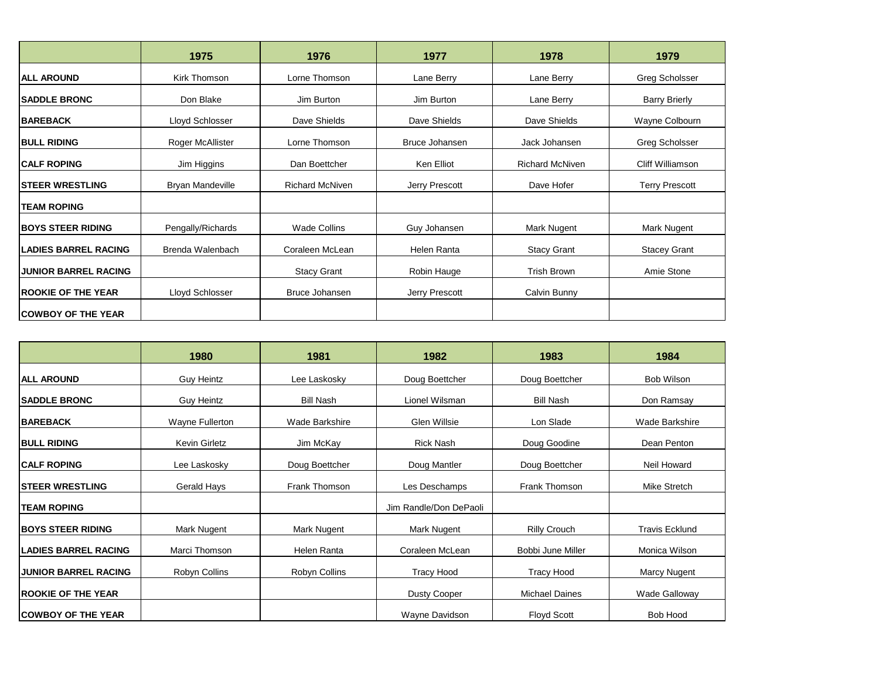|                             | 1975                    | 1976                   | 1977           | 1978                   | 1979                  |
|-----------------------------|-------------------------|------------------------|----------------|------------------------|-----------------------|
| <b>ALL AROUND</b>           | Kirk Thomson            | Lorne Thomson          | Lane Berry     | Lane Berry             | Greg Scholsser        |
| <b>SADDLE BRONC</b>         | Don Blake               | Jim Burton             | Jim Burton     | Lane Berry             | <b>Barry Brierly</b>  |
| <b>BAREBACK</b>             | Lloyd Schlosser         | Dave Shields           | Dave Shields   | Dave Shields           | Wayne Colbourn        |
| <b>BULL RIDING</b>          | Roger McAllister        | Lorne Thomson          | Bruce Johansen | Jack Johansen          | Greg Scholsser        |
| <b>ICALF ROPING</b>         | Jim Higgins             | Dan Boettcher          | Ken Elliot     | <b>Richard McNiven</b> | Cliff Williamson      |
| <b>STEER WRESTLING</b>      | <b>Bryan Mandeville</b> | <b>Richard McNiven</b> | Jerry Prescott | Dave Hofer             | <b>Terry Prescott</b> |
| <b>TEAM ROPING</b>          |                         |                        |                |                        |                       |
| <b>BOYS STEER RIDING</b>    | Pengally/Richards       | <b>Wade Collins</b>    | Guy Johansen   | Mark Nugent            | Mark Nugent           |
| <b>LADIES BARREL RACING</b> | Brenda Walenbach        | Coraleen McLean        | Helen Ranta    | <b>Stacy Grant</b>     | <b>Stacey Grant</b>   |
| <b>JUNIOR BARREL RACING</b> |                         | <b>Stacy Grant</b>     | Robin Hauge    | <b>Trish Brown</b>     | Amie Stone            |
| <b>ROOKIE OF THE YEAR</b>   | Lloyd Schlosser         | Bruce Johansen         | Jerry Prescott | Calvin Bunny           |                       |
| <b>COWBOY OF THE YEAR</b>   |                         |                        |                |                        |                       |

|                             | 1980                 | 1981             | 1982                   | 1983                  | 1984                  |
|-----------------------------|----------------------|------------------|------------------------|-----------------------|-----------------------|
| <b>IALL AROUND</b>          | <b>Guy Heintz</b>    | Lee Laskosky     | Doug Boettcher         | Doug Boettcher        | Bob Wilson            |
| <b>SADDLE BRONC</b>         | Guy Heintz           | <b>Bill Nash</b> | Lionel Wilsman         | <b>Bill Nash</b>      | Don Ramsay            |
| <b>BAREBACK</b>             | Wayne Fullerton      | Wade Barkshire   | Glen Willsie           | Lon Slade             | Wade Barkshire        |
| <b>BULL RIDING</b>          | <b>Kevin Girletz</b> | Jim McKay        | <b>Rick Nash</b>       | Doug Goodine          | Dean Penton           |
| <b>CALF ROPING</b>          | Lee Laskosky         | Doug Boettcher   | Doug Mantler           | Doug Boettcher        | Neil Howard           |
| <b>ISTEER WRESTLING</b>     | Gerald Hays          | Frank Thomson    | Les Deschamps          | Frank Thomson         | Mike Stretch          |
| <b>TEAM ROPING</b>          |                      |                  | Jim Randle/Don DePaoli |                       |                       |
| <b>BOYS STEER RIDING</b>    | Mark Nugent          | Mark Nugent      | Mark Nugent            | <b>Rilly Crouch</b>   | <b>Travis Ecklund</b> |
| <b>LADIES BARREL RACING</b> | Marci Thomson        | Helen Ranta      | Coraleen McLean        | Bobbi June Miller     | Monica Wilson         |
| <b>JUNIOR BARREL RACING</b> | Robyn Collins        | Robyn Collins    | Tracy Hood             | <b>Tracy Hood</b>     | Marcy Nugent          |
| <b>ROOKIE OF THE YEAR</b>   |                      |                  | <b>Dusty Cooper</b>    | <b>Michael Daines</b> | Wade Galloway         |
| <b>COWBOY OF THE YEAR</b>   |                      |                  | Wayne Davidson         | <b>Floyd Scott</b>    | Bob Hood              |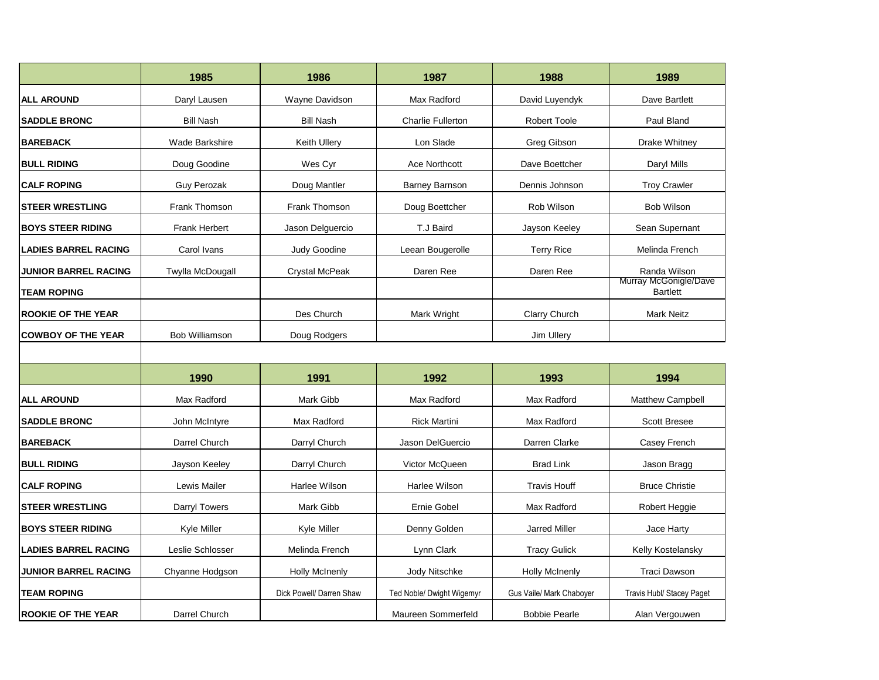|                             | 1985                    | 1986                     | 1987                      | 1988                     | 1989                                     |
|-----------------------------|-------------------------|--------------------------|---------------------------|--------------------------|------------------------------------------|
| <b>ALL AROUND</b>           | Daryl Lausen            | Wayne Davidson           | Max Radford               | David Luyendyk           | Dave Bartlett                            |
| <b>SADDLE BRONC</b>         | <b>Bill Nash</b>        | <b>Bill Nash</b>         | <b>Charlie Fullerton</b>  | <b>Robert Toole</b>      | Paul Bland                               |
| <b>BAREBACK</b>             | <b>Wade Barkshire</b>   | Keith Ullery             | Lon Slade                 | Greg Gibson              | Drake Whitney                            |
| <b>BULL RIDING</b>          | Doug Goodine            | Wes Cyr                  | <b>Ace Northcott</b>      | Dave Boettcher           | Daryl Mills                              |
| <b>CALF ROPING</b>          | <b>Guy Perozak</b>      | Doug Mantler             | <b>Barney Barnson</b>     | Dennis Johnson           | <b>Troy Crawler</b>                      |
| <b>STEER WRESTLING</b>      | Frank Thomson           | Frank Thomson            | Doug Boettcher            | Rob Wilson               | <b>Bob Wilson</b>                        |
| <b>BOYS STEER RIDING</b>    | <b>Frank Herbert</b>    | Jason Delquercio         | T.J Baird                 | Jayson Keeley            | Sean Supernant                           |
| <b>LADIES BARREL RACING</b> | Carol Ivans             | <b>Judy Goodine</b>      | Leean Bougerolle          | <b>Terry Rice</b>        | Melinda French                           |
| <b>JUNIOR BARREL RACING</b> | <b>Twylla McDougall</b> | <b>Crystal McPeak</b>    | Daren Ree                 | Daren Ree                | Randa Wilson                             |
| <b>TEAM ROPING</b>          |                         |                          |                           |                          | Murray McGonigle/Dave<br><b>Bartlett</b> |
| <b>ROOKIE OF THE YEAR</b>   |                         | Des Church               | <b>Mark Wright</b>        | <b>Clarry Church</b>     | <b>Mark Neitz</b>                        |
| <b>COWBOY OF THE YEAR</b>   | Bob Williamson          | Doug Rodgers             |                           | Jim Ullery               |                                          |
|                             |                         |                          |                           |                          |                                          |
|                             | 1990                    | 1991                     | 1992                      | 1993                     | 1994                                     |
| <b>ALL AROUND</b>           | Max Radford             | <b>Mark Gibb</b>         | Max Radford               | Max Radford              | <b>Matthew Campbell</b>                  |
| <b>SADDLE BRONC</b>         | John McIntyre           | Max Radford              | <b>Rick Martini</b>       | Max Radford              | <b>Scott Bresee</b>                      |
| <b>BAREBACK</b>             | Darrel Church           | Darryl Church            | Jason DelGuercio          | Darren Clarke            | Casey French                             |
| <b>BULL RIDING</b>          | Jayson Keeley           | Darryl Church            | Victor McQueen            | <b>Brad Link</b>         | Jason Bragg                              |
| <b>CALF ROPING</b>          | Lewis Mailer            | Harlee Wilson            | Harlee Wilson             | <b>Travis Houff</b>      | <b>Bruce Christie</b>                    |
| <b>STEER WRESTLING</b>      | Darryl Towers           | Mark Gibb                | Ernie Gobel               | Max Radford              | Robert Heggie                            |
| <b>BOYS STEER RIDING</b>    | Kyle Miller             | Kyle Miller              | Denny Golden              | <b>Jarred Miller</b>     | Jace Harty                               |
| <b>LADIES BARREL RACING</b> | Leslie Schlosser        | Melinda French           | Lynn Clark                | <b>Tracy Gulick</b>      | Kelly Kostelansky                        |
| <b>JUNIOR BARREL RACING</b> | Chyanne Hodgson         | <b>Holly McInenly</b>    | Jody Nitschke             | <b>Holly McInenly</b>    | <b>Traci Dawson</b>                      |
| <b>TEAM ROPING</b>          |                         | Dick Powell/ Darren Shaw | Ted Noble/ Dwight Wigemyr | Gus Vaile/ Mark Chaboyer | <b>Travis Hubl/ Stacey Paget</b>         |
| <b>ROOKIE OF THE YEAR</b>   | Darrel Church           |                          | Maureen Sommerfeld        | <b>Bobbie Pearle</b>     | Alan Vergouwen                           |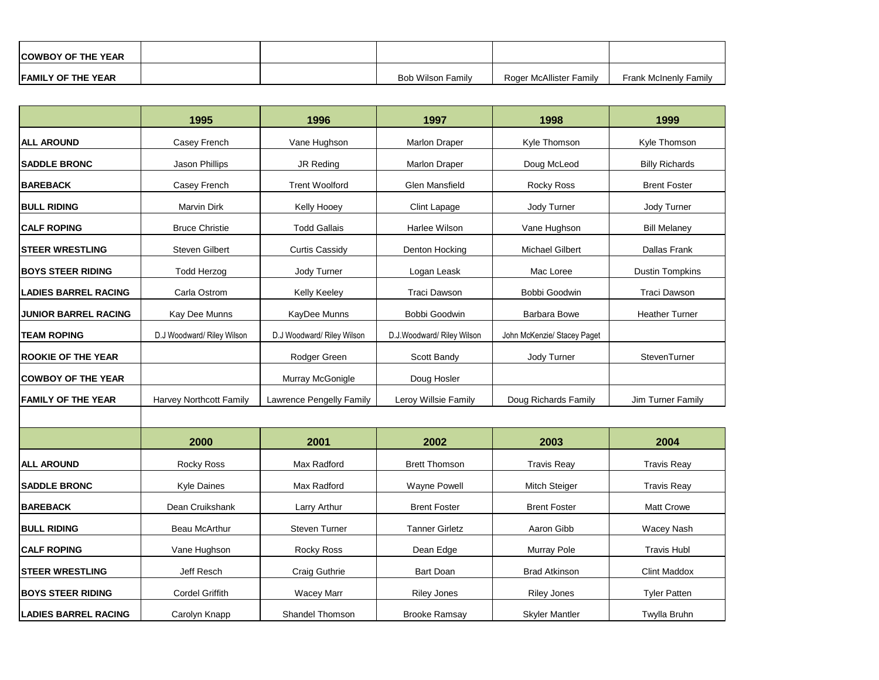| <b>COWBOY OF THE YEAR</b> |  |                   |                         |                              |
|---------------------------|--|-------------------|-------------------------|------------------------------|
| <b>FAMILY OF THE YEAR</b> |  | Bob Wilson Family | Roger McAllister Family | <b>Frank McInenly Family</b> |

|                             | 1995                       | 1996                       | 1997                       | 1998                        | 1999                   |
|-----------------------------|----------------------------|----------------------------|----------------------------|-----------------------------|------------------------|
| <b>ALL AROUND</b>           | Casey French               | Vane Hughson               | Marlon Draper              | Kyle Thomson                | Kyle Thomson           |
| <b>SADDLE BRONC</b>         | Jason Phillips             | JR Reding                  | Marlon Draper              | Doug McLeod                 | <b>Billy Richards</b>  |
| <b>BAREBACK</b>             | Casey French               | <b>Trent Woolford</b>      | Glen Mansfield             | Rocky Ross                  | <b>Brent Foster</b>    |
| <b>BULL RIDING</b>          | <b>Marvin Dirk</b>         | Kelly Hooey                | Clint Lapage               | Jody Turner                 | Jody Turner            |
| <b>CALF ROPING</b>          | <b>Bruce Christie</b>      | <b>Todd Gallais</b>        | Harlee Wilson              | Vane Hughson                | <b>Bill Melaney</b>    |
| <b>STEER WRESTLING</b>      | Steven Gilbert             | <b>Curtis Cassidy</b>      | Denton Hocking             | <b>Michael Gilbert</b>      | Dallas Frank           |
| <b>BOYS STEER RIDING</b>    | <b>Todd Herzog</b>         | Jody Turner                | Logan Leask                | Mac Loree                   | <b>Dustin Tompkins</b> |
| <b>LADIES BARREL RACING</b> | Carla Ostrom               | Kelly Keeley               | <b>Traci Dawson</b>        | Bobbi Goodwin               | <b>Traci Dawson</b>    |
| <b>JUNIOR BARREL RACING</b> | Kay Dee Munns              | KayDee Munns               | Bobbi Goodwin              | <b>Barbara Bowe</b>         | <b>Heather Turner</b>  |
| <b>TEAM ROPING</b>          | D.J Woodward/ Riley Wilson | D.J Woodward/ Riley Wilson | D.J.Woodward/ Riley Wilson | John McKenzie/ Stacey Paget |                        |
| <b>ROOKIE OF THE YEAR</b>   |                            | Rodger Green               | Scott Bandy                | Jody Turner                 | StevenTurner           |
| <b>COWBOY OF THE YEAR</b>   |                            | Murray McGonigle           | Doug Hosler                |                             |                        |
| <b>FAMILY OF THE YEAR</b>   | Harvey Northcott Family    | Lawrence Pengelly Family   | Leroy Willsie Family       | Doug Richards Family        | Jim Turner Family      |
|                             |                            |                            |                            |                             |                        |
|                             | 2000                       | 2001                       | 2002                       | 2003                        | 2004                   |
| <b>ALL AROUND</b>           | Rocky Ross                 | Max Radford                | <b>Brett Thomson</b>       | <b>Travis Reay</b>          | <b>Travis Reay</b>     |
| <b>SADDLE BRONC</b>         | Kyle Daines                | Max Radford                | <b>Wayne Powell</b>        | Mitch Steiger               | <b>Travis Reay</b>     |
| <b>BAREBACK</b>             | Dean Cruikshank            | Larry Arthur               | <b>Brent Foster</b>        | <b>Brent Foster</b>         | Matt Crowe             |
| <b>BULL RIDING</b>          | <b>Beau McArthur</b>       | <b>Steven Turner</b>       | <b>Tanner Girletz</b>      | Aaron Gibb                  | Wacey Nash             |
| <b>CALF ROPING</b>          | Vane Hughson               | Rocky Ross                 | Dean Edge                  | Murray Pole                 | <b>Travis Hubl</b>     |
| <b>STEER WRESTLING</b>      | Jeff Resch                 | Craig Guthrie              | <b>Bart Doan</b>           | <b>Brad Atkinson</b>        | <b>Clint Maddox</b>    |
| <b>BOYS STEER RIDING</b>    | <b>Cordel Griffith</b>     | <b>Wacey Marr</b>          | <b>Riley Jones</b>         | <b>Riley Jones</b>          | <b>Tyler Patten</b>    |
| <b>LADIES BARREL RACING</b> | Carolyn Knapp              | Shandel Thomson            | <b>Brooke Ramsav</b>       | <b>Skyler Mantler</b>       | Twylla Bruhn           |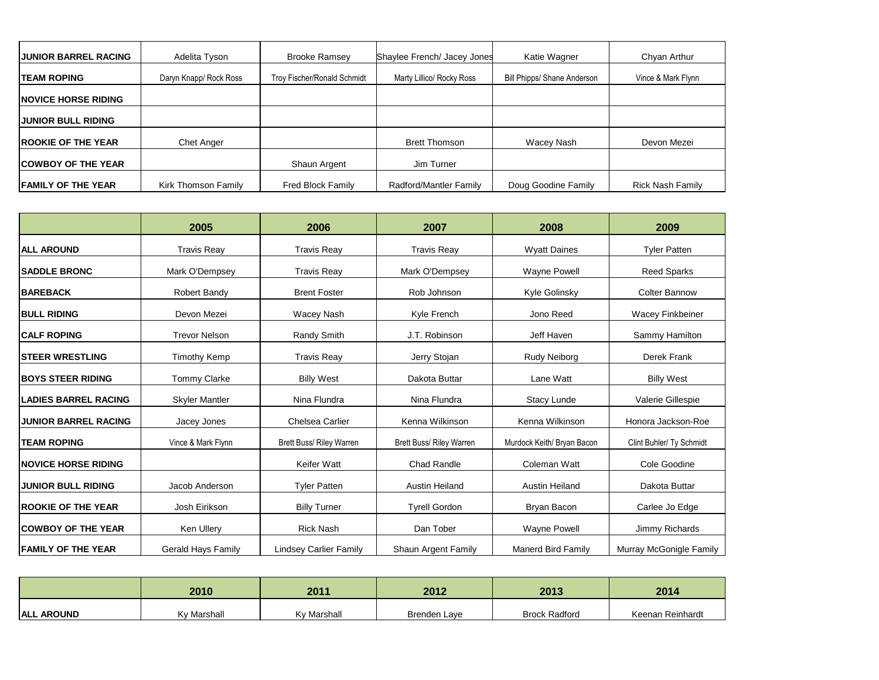| <b>JUNIOR BARREL RACING</b> | Adelita Tyson          | <b>Brooke Ramsey</b>        | Shaylee French/ Jacey Jones | Katie Wagner                | Chyan Arthur            |
|-----------------------------|------------------------|-----------------------------|-----------------------------|-----------------------------|-------------------------|
| <b>TEAM ROPING</b>          | Daryn Knapp/ Rock Ross | Troy Fischer/Ronald Schmidt | Marty Lillico/ Rocky Ross   | Bill Phipps/ Shane Anderson | Vince & Mark Flynn      |
| <b>INOVICE HORSE RIDING</b> |                        |                             |                             |                             |                         |
| <b>JUNIOR BULL RIDING</b>   |                        |                             |                             |                             |                         |
| <b>ROOKIE OF THE YEAR</b>   | <b>Chet Anger</b>      |                             | <b>Brett Thomson</b>        | Wacey Nash                  | Devon Mezei             |
| <b>COWBOY OF THE YEAR</b>   |                        | Shaun Argent                | Jim Turner                  |                             |                         |
| <b>FAMILY OF THE YEAR</b>   | Kirk Thomson Family    | Fred Block Family           | Radford/Mantler Family      | Doug Goodine Family         | <b>Rick Nash Family</b> |

|                             | 2005                  | 2006                            | 2007                            | 2008                       | 2009                     |
|-----------------------------|-----------------------|---------------------------------|---------------------------------|----------------------------|--------------------------|
| <b>IALL AROUND</b>          | <b>Travis Reav</b>    | <b>Travis Reav</b>              | <b>Travis Reav</b>              | <b>Wyatt Daines</b>        | <b>Tyler Patten</b>      |
| <b>SADDLE BRONC</b>         | Mark O'Dempsey        | <b>Travis Reav</b>              | Mark O'Dempsey                  | <b>Wayne Powell</b>        | <b>Reed Sparks</b>       |
| <b>BAREBACK</b>             | Robert Bandy          | <b>Brent Foster</b>             | Rob Johnson                     | Kyle Golinsky              | <b>Colter Bannow</b>     |
| <b>BULL RIDING</b>          | Devon Mezei           | Wacey Nash                      | Kyle French                     | Jono Reed                  | Wacey Finkbeiner         |
| <b>CALF ROPING</b>          | <b>Trevor Nelson</b>  | Randy Smith                     | J.T. Robinson                   | Jeff Haven                 | Sammy Hamilton           |
| <b>ISTEER WRESTLING</b>     | <b>Timothy Kemp</b>   | <b>Travis Reay</b>              | Jerry Stojan                    | Rudy Neiborg               | Derek Frank              |
| <b>BOYS STEER RIDING</b>    | <b>Tommy Clarke</b>   | <b>Billy West</b>               | Dakota Buttar                   | Lane Watt                  | <b>Billy West</b>        |
| <b>LADIES BARREL RACING</b> | <b>Skyler Mantler</b> | Nina Flundra                    | Nina Flundra                    | <b>Stacy Lunde</b>         | Valerie Gillespie        |
| <b>JUNIOR BARREL RACING</b> | Jacey Jones           | <b>Chelsea Carlier</b>          | Kenna Wilkinson                 | Kenna Wilkinson            | Honora Jackson-Roe       |
| <b>TEAM ROPING</b>          | Vince & Mark Flynn    | <b>Brett Buss/ Riley Warren</b> | <b>Brett Buss/ Riley Warren</b> | Murdock Keith/ Bryan Bacon | Clint Buhler/ Ty Schmidt |
| <b>NOVICE HORSE RIDING</b>  |                       | Keifer Watt                     | <b>Chad Randle</b>              | <b>Coleman Watt</b>        | Cole Goodine             |
| <b>JUNIOR BULL RIDING</b>   | Jacob Anderson        | <b>Tyler Patten</b>             | <b>Austin Heiland</b>           | <b>Austin Heiland</b>      | Dakota Buttar            |
| <b>ROOKIE OF THE YEAR</b>   | Josh Eirikson         | <b>Billy Turner</b>             | <b>Tyrell Gordon</b>            | Bryan Bacon                | Carlee Jo Edge           |
| <b>COWBOY OF THE YEAR</b>   | Ken Ullery            | <b>Rick Nash</b>                | Dan Tober                       | <b>Wayne Powell</b>        | Jimmy Richards           |
| <b>FAMILY OF THE YEAR</b>   | Gerald Hays Family    | <b>Lindsey Carlier Family</b>   | Shaun Argent Family             | <b>Manerd Bird Family</b>  | Murray McGonigle Family  |

|                   | 2010        | 2011               | 2012         | 2013                 | 2014             |
|-------------------|-------------|--------------------|--------------|----------------------|------------------|
| <b>ALL AROUND</b> | Kv Marshall | <b>Kv Marshall</b> | Brenden Lave | <b>Brock Radford</b> | Keenan Reinhardt |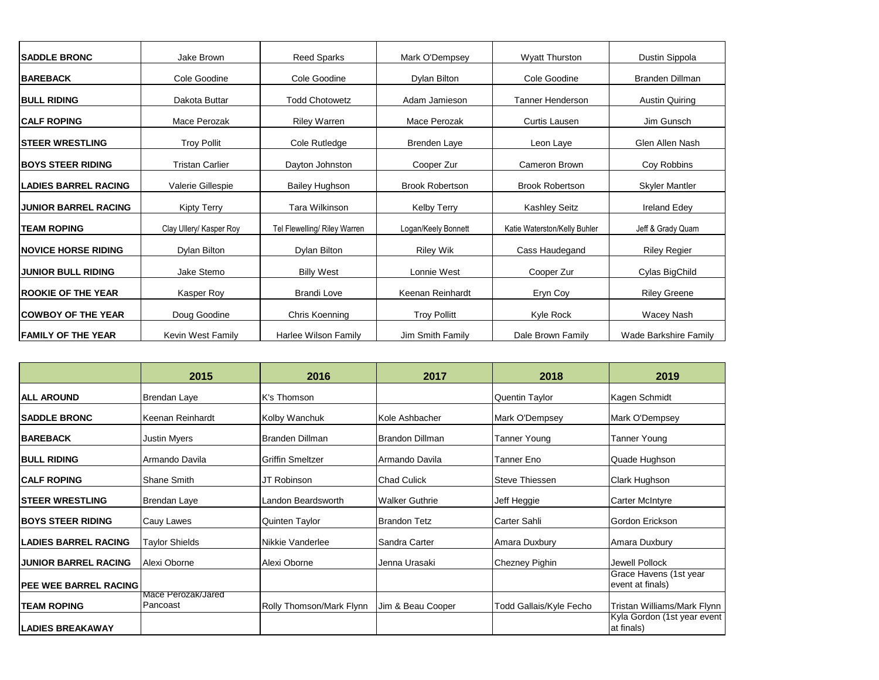| <b>ISADDLE BRONC</b>         | Jake Brown              | <b>Reed Sparks</b>           | Mark O'Dempsey<br><b>Wyatt Thurston</b>  |                              | Dustin Sippola                           |
|------------------------------|-------------------------|------------------------------|------------------------------------------|------------------------------|------------------------------------------|
| <b>BAREBACK</b>              | Cole Goodine            | Cole Goodine                 | Dylan Bilton<br>Cole Goodine             |                              | Branden Dillman                          |
| <b>IBULL RIDING</b>          | Dakota Buttar           | <b>Todd Chotowetz</b>        | <b>Tanner Henderson</b><br>Adam Jamieson |                              | <b>Austin Quiring</b>                    |
| <b>ICALF ROPING</b>          | Mace Perozak            | <b>Riley Warren</b>          | Mace Perozak<br><b>Curtis Lausen</b>     |                              | Jim Gunsch                               |
| <b>ISTEER WRESTLING</b>      | <b>Troy Pollit</b>      | Cole Rutledge                | Brenden Laye                             | Leon Laye                    |                                          |
| <b>BOYS STEER RIDING</b>     | <b>Tristan Carlier</b>  | Dayton Johnston              | Cameron Brown<br>Cooper Zur              |                              | Coy Robbins                              |
| <b>ILADIES BARREL RACING</b> | Valerie Gillespie       | <b>Bailey Hughson</b>        | <b>Brook Robertson</b>                   | <b>Brook Robertson</b>       |                                          |
| <b>JUNIOR BARREL RACING</b>  | <b>Kipty Terry</b>      | Tara Wilkinson               | <b>Kashley Seitz</b><br>Kelby Terry      |                              | <b>Ireland Edey</b>                      |
| <b>ITEAM ROPING</b>          | Clay Ullery/ Kasper Roy | Tel Flewelling/ Riley Warren | Logan/Keely Bonnett                      | Katie Waterston/Kelly Buhler |                                          |
| <b>INOVICE HORSE RIDING</b>  | Dylan Bilton            | Dylan Bilton                 | <b>Riley Wik</b><br>Cass Haudegand       |                              | Jeff & Grady Quam<br><b>Riley Regier</b> |
| <b>JUNIOR BULL RIDING</b>    | Jake Stemo              | <b>Billy West</b>            | Lonnie West<br>Cooper Zur                |                              | Cylas BigChild                           |
| <b>ROOKIE OF THE YEAR</b>    | Kasper Roy              | <b>Brandi Love</b>           | Keenan Reinhardt<br>Eryn Coy             |                              | <b>Riley Greene</b>                      |
| <b>COWBOY OF THE YEAR</b>    | Doug Goodine            | Chris Koenning               | <b>Troy Pollitt</b>                      | Kyle Rock                    | Wacey Nash                               |
| <b>FAMILY OF THE YEAR</b>    | Kevin West Family       | Harlee Wilson Family         | Jim Smith Family                         | Dale Brown Family            | Wade Barkshire Family                    |

|                               | 2015                           | 2016                     | 2017                            | 2018                    | 2019                                       |
|-------------------------------|--------------------------------|--------------------------|---------------------------------|-------------------------|--------------------------------------------|
| <b>IALL AROUND</b>            | Brendan Laye                   | K's Thomson              |                                 | <b>Quentin Taylor</b>   | Kagen Schmidt                              |
| <b>ISADDLE BRONC</b>          | Keenan Reinhardt               | Kolby Wanchuk            | Kole Ashbacher                  | Mark O'Dempsey          | Mark O'Dempsey                             |
| <b>BAREBACK</b>               | Justin Myers                   | Branden Dillman          | Brandon Dillman<br>Tanner Young |                         | Tanner Young                               |
| <b>BULL RIDING</b>            | Armando Davila                 | <b>Griffin Smeltzer</b>  | Armando Davila<br>Tanner Eno    |                         | Quade Hughson                              |
| <b>CALF ROPING</b>            | Shane Smith                    | JT Robinson              | <b>Chad Culick</b>              | Steve Thiessen          | Clark Hughson                              |
| <b>ISTEER WRESTLING</b>       | Brendan Laye                   | Landon Beardsworth       | <b>Walker Guthrie</b>           | Jeff Heggie             | Carter McIntyre                            |
| <b>IBOYS STEER RIDING</b>     | Cauy Lawes                     | Quinten Taylor           | <b>Brandon Tetz</b>             | Carter Sahli            | Gordon Erickson                            |
| <b>ILADIES BARREL RACING</b>  | Taylor Shields                 | Nikkie Vanderlee         | Sandra Carter                   | Amara Duxbury           | Amara Duxbury                              |
| <b>JUNIOR BARREL RACING</b>   | Alexi Oborne                   | Alexi Oborne             | Jenna Urasaki                   | Chezney Pighin          | Jewell Pollock                             |
| <b>IPEE WEE BARREL RACING</b> |                                |                          |                                 |                         | Grace Havens (1st year<br>event at finals) |
| <b>ITEAM ROPING</b>           | Mace Perozak/Jared<br>Pancoast | Rolly Thomson/Mark Flynn | Jim & Beau Cooper               | Todd Gallais/Kyle Fecho | Tristan Williams/Mark Flynn                |
| <b>LADIES BREAKAWAY</b>       |                                |                          |                                 |                         | Kyla Gordon (1st year event<br>at finals)  |